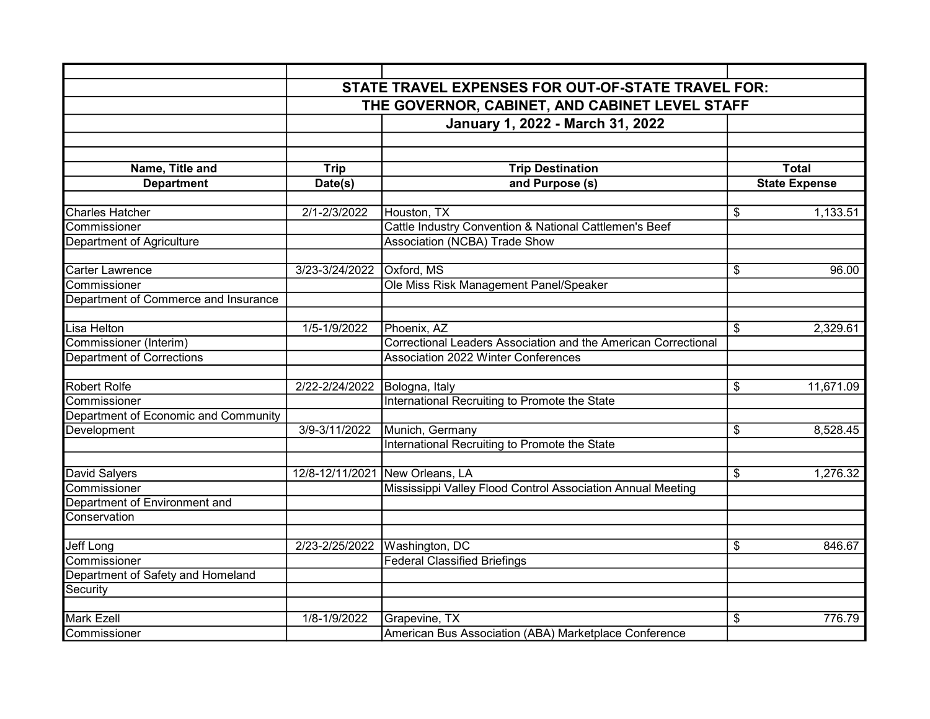|                                      |                                                | STATE TRAVEL EXPENSES FOR OUT-OF-STATE TRAVEL FOR:             |                                      |  |
|--------------------------------------|------------------------------------------------|----------------------------------------------------------------|--------------------------------------|--|
|                                      | THE GOVERNOR, CABINET, AND CABINET LEVEL STAFF |                                                                |                                      |  |
|                                      |                                                | January 1, 2022 - March 31, 2022                               |                                      |  |
|                                      |                                                |                                                                |                                      |  |
|                                      |                                                |                                                                |                                      |  |
| Name, Title and                      | Trip                                           | <b>Trip Destination</b>                                        | <b>Total</b>                         |  |
| <b>Department</b>                    | Date(s)                                        | and Purpose (s)                                                | <b>State Expense</b>                 |  |
|                                      |                                                |                                                                |                                      |  |
| Charles Hatcher                      | 2/1-2/3/2022                                   | Houston, TX                                                    | \$<br>1,133.51                       |  |
| Commissioner                         |                                                | Cattle Industry Convention & National Cattlemen's Beef         |                                      |  |
| Department of Agriculture            |                                                | Association (NCBA) Trade Show                                  |                                      |  |
|                                      |                                                |                                                                |                                      |  |
| <b>Carter Lawrence</b>               | 3/23-3/24/2022                                 | Oxford, MS                                                     | \$<br>96.00                          |  |
| Commissioner                         |                                                | Ole Miss Risk Management Panel/Speaker                         |                                      |  |
| Department of Commerce and Insurance |                                                |                                                                |                                      |  |
| Lisa Helton                          | 1/5-1/9/2022                                   | Phoenix, AZ                                                    | \$<br>2,329.61                       |  |
| Commissioner (Interim)               |                                                | Correctional Leaders Association and the American Correctional |                                      |  |
| <b>Department of Corrections</b>     |                                                | <b>Association 2022 Winter Conferences</b>                     |                                      |  |
|                                      |                                                |                                                                |                                      |  |
| <b>Robert Rolfe</b>                  | 2/22-2/24/2022                                 | Bologna, Italy                                                 | 11,671.09<br>\$                      |  |
| Commissioner                         |                                                | International Recruiting to Promote the State                  |                                      |  |
| Department of Economic and Community |                                                |                                                                |                                      |  |
| Development                          | 3/9-3/11/2022                                  | Munich, Germany                                                | $\overline{\mathcal{S}}$<br>8,528.45 |  |
|                                      |                                                | International Recruiting to Promote the State                  |                                      |  |
|                                      |                                                |                                                                |                                      |  |
| David Salyers                        | 12/8-12/11/2021                                | New Orleans, LA                                                | $\overline{\mathcal{S}}$<br>1,276.32 |  |
| Commissioner                         |                                                | Mississippi Valley Flood Control Association Annual Meeting    |                                      |  |
| Department of Environment and        |                                                |                                                                |                                      |  |
| Conservation                         |                                                |                                                                |                                      |  |
|                                      |                                                |                                                                |                                      |  |
| Jeff Long<br>Commissioner            | 2/23-2/25/2022                                 | Washington, DC<br><b>Federal Classified Briefings</b>          | \$<br>846.67                         |  |
| Department of Safety and Homeland    |                                                |                                                                |                                      |  |
| Security                             |                                                |                                                                |                                      |  |
|                                      |                                                |                                                                |                                      |  |
| <b>Mark Ezell</b>                    | 1/8-1/9/2022                                   | Grapevine, TX                                                  | \$<br>776.79                         |  |
| Commissioner                         |                                                | American Bus Association (ABA) Marketplace Conference          |                                      |  |